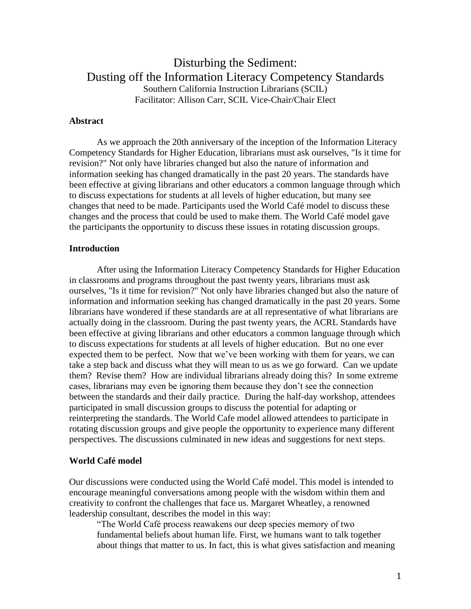# Disturbing the Sediment: Dusting off the Information Literacy Competency Standards Southern California Instruction Librarians (SCIL) Facilitator: Allison Carr, SCIL Vice-Chair/Chair Elect

### **Abstract**

As we approach the 20th anniversary of the inception of the Information Literacy Competency Standards for Higher Education, librarians must ask ourselves, "Is it time for revision?" Not only have libraries changed but also the nature of information and information seeking has changed dramatically in the past 20 years. The standards have been effective at giving librarians and other educators a common language through which to discuss expectations for students at all levels of higher education, but many see changes that need to be made. Participants used the World Café model to discuss these changes and the process that could be used to make them. The World Café model gave the participants the opportunity to discuss these issues in rotating discussion groups.

#### **Introduction**

After using the Information Literacy Competency Standards for Higher Education in classrooms and programs throughout the past twenty years, librarians must ask ourselves, "Is it time for revision?" Not only have libraries changed but also the nature of information and information seeking has changed dramatically in the past 20 years. Some librarians have wondered if these standards are at all representative of what librarians are actually doing in the classroom. During the past twenty years, the ACRL Standards have been effective at giving librarians and other educators a common language through which to discuss expectations for students at all levels of higher education. But no one ever expected them to be perfect. Now that we've been working with them for years, we can take a step back and discuss what they will mean to us as we go forward. Can we update them? Revise them? How are individual librarians already doing this? In some extreme cases, librarians may even be ignoring them because they don't see the connection between the standards and their daily practice. During the half-day workshop, attendees participated in small discussion groups to discuss the potential for adapting or reinterpreting the standards. The World Cafe model allowed attendees to participate in rotating discussion groups and give people the opportunity to experience many different perspectives. The discussions culminated in new ideas and suggestions for next steps.

#### **World Café model**

Our discussions were conducted using the World Café model. This model is intended to encourage meaningful conversations among people with the wisdom within them and creativity to confront the challenges that face us. Margaret Wheatley, a renowned leadership consultant, describes the model in this way:

"The World Café process reawakens our deep species memory of two fundamental beliefs about human life. First, we humans want to talk together about things that matter to us. In fact, this is what gives satisfaction and meaning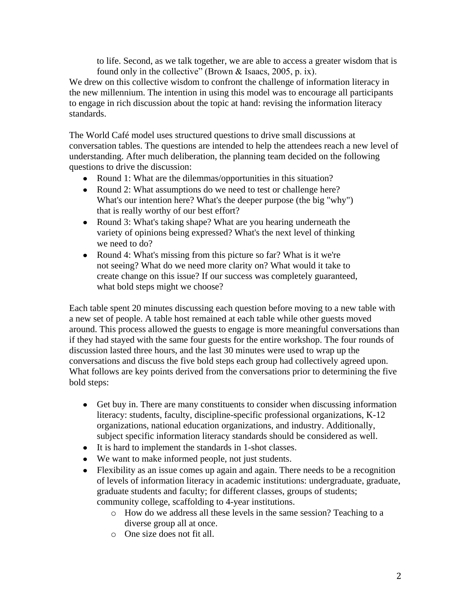to life. Second, as we talk together, we are able to access a greater wisdom that is found only in the collective" (Brown & Isaacs, 2005, p. ix).

We drew on this collective wisdom to confront the challenge of information literacy in the new millennium. The intention in using this model was to encourage all participants to engage in rich discussion about the topic at hand: revising the information literacy standards.

The World Café model uses structured questions to drive small discussions at conversation tables. The questions are intended to help the attendees reach a new level of understanding. After much deliberation, the planning team decided on the following questions to drive the discussion:

- Round 1: What are the dilemmas/opportunities in this situation?
- Round 2: What assumptions do we need to test or challenge here? What's our intention here? What's the deeper purpose (the big "why") that is really worthy of our best effort?
- Round 3: What's taking shape? What are you hearing underneath the variety of opinions being expressed? What's the next level of thinking we need to do?
- Round 4: What's missing from this picture so far? What is it we're not seeing? What do we need more clarity on? What would it take to create change on this issue? If our success was completely guaranteed, what bold steps might we choose?

Each table spent 20 minutes discussing each question before moving to a new table with a new set of people. A table host remained at each table while other guests moved around. This process allowed the guests to engage is more meaningful conversations than if they had stayed with the same four guests for the entire workshop. The four rounds of discussion lasted three hours, and the last 30 minutes were used to wrap up the conversations and discuss the five bold steps each group had collectively agreed upon. What follows are key points derived from the conversations prior to determining the five bold steps:

- Get buy in. There are many constituents to consider when discussing information literacy: students, faculty, discipline-specific professional organizations, K-12 organizations, national education organizations, and industry. Additionally, subject specific information literacy standards should be considered as well.
- It is hard to implement the standards in 1-shot classes.
- We want to make informed people, not just students.
- Flexibility as an issue comes up again and again. There needs to be a recognition of levels of information literacy in academic institutions: undergraduate, graduate, graduate students and faculty; for different classes, groups of students; community college, scaffolding to 4-year institutions.
	- o How do we address all these levels in the same session? Teaching to a diverse group all at once.
	- o One size does not fit all.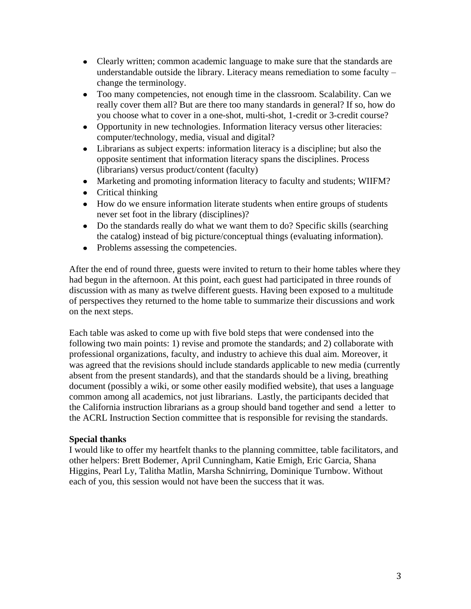- Clearly written; common academic language to make sure that the standards are understandable outside the library. Literacy means remediation to some faculty – change the terminology.
- Too many competencies, not enough time in the classroom. Scalability. Can we really cover them all? But are there too many standards in general? If so, how do you choose what to cover in a one-shot, multi-shot, 1-credit or 3-credit course?
- Opportunity in new technologies. Information literacy versus other literacies: computer/technology, media, visual and digital?
- Librarians as subject experts: information literacy is a discipline; but also the opposite sentiment that information literacy spans the disciplines. Process (librarians) versus product/content (faculty)
- Marketing and promoting information literacy to faculty and students; WIIFM?
- Critical thinking
- How do we ensure information literate students when entire groups of students never set foot in the library (disciplines)?
- Do the standards really do what we want them to do? Specific skills (searching the catalog) instead of big picture/conceptual things (evaluating information).
- Problems assessing the competencies.

After the end of round three, guests were invited to return to their home tables where they had begun in the afternoon. At this point, each guest had participated in three rounds of discussion with as many as twelve different guests. Having been exposed to a multitude of perspectives they returned to the home table to summarize their discussions and work on the next steps.

Each table was asked to come up with five bold steps that were condensed into the following two main points: 1) revise and promote the standards; and 2) collaborate with professional organizations, faculty, and industry to achieve this dual aim. Moreover, it was agreed that the revisions should include standards applicable to new media (currently absent from the present standards), and that the standards should be a living, breathing document (possibly a wiki, or some other easily modified website), that uses a language common among all academics, not just librarians. Lastly, the participants decided that the California instruction librarians as a group should band together and send a letter to the ACRL Instruction Section committee that is responsible for revising the standards.

## **Special thanks**

I would like to offer my heartfelt thanks to the planning committee, table facilitators, and other helpers: Brett Bodemer, April Cunningham, Katie Emigh, Eric Garcia, Shana Higgins, Pearl Ly, Talitha Matlin, Marsha Schnirring, Dominique Turnbow. Without each of you, this session would not have been the success that it was.